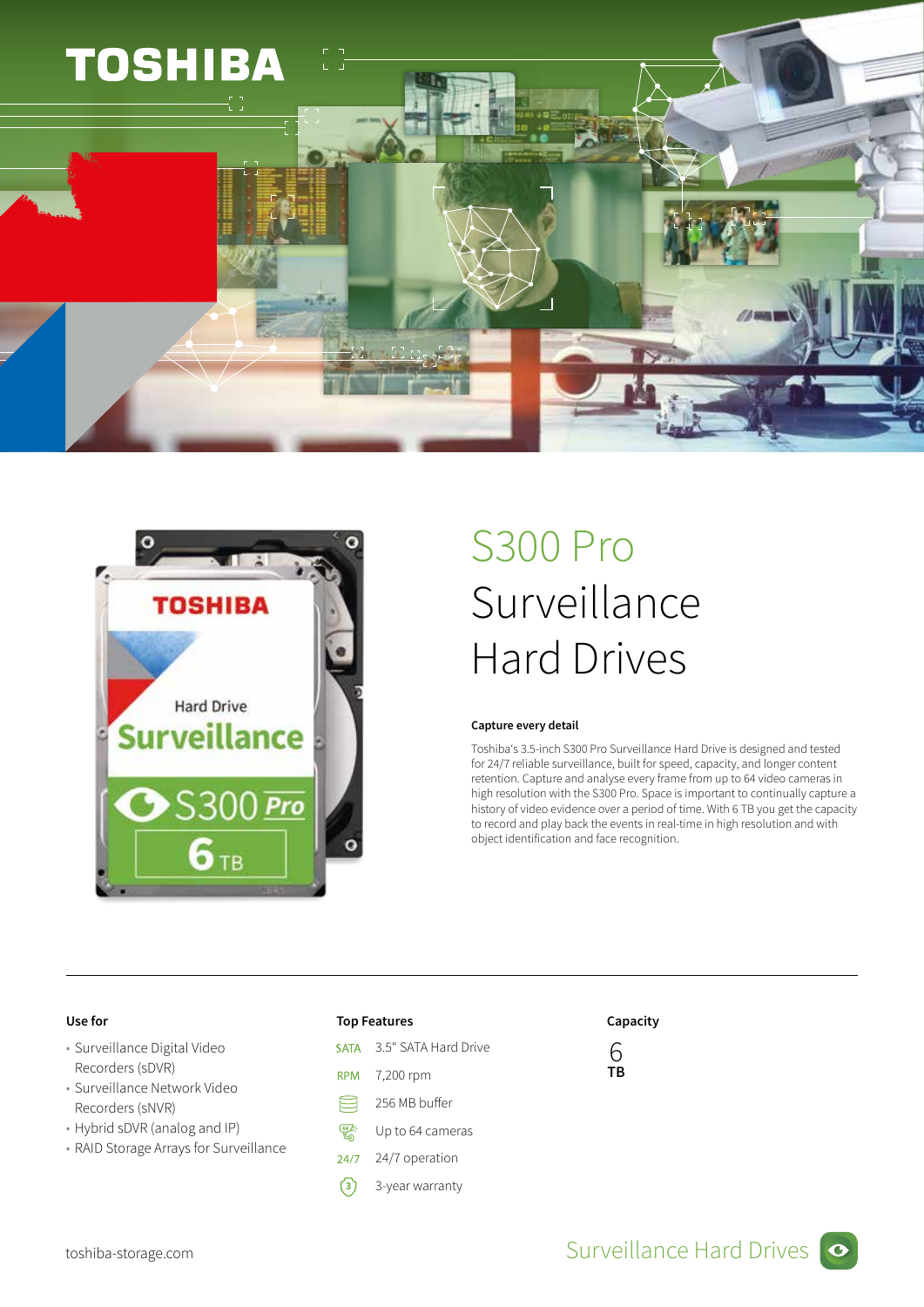



## S300 Pro Surveillance Hard Drives

### Capture every detail

Toshiba's 3.5-inch S300 Pro Surveillance Hard Drive is designed and tested for 24/7 reliable surveillance, built for speed, capacity, and longer content retention. Capture and analyse every frame from up to 64 video cameras in high resolution with the S300 Pro. Space is important to continually capture a history of video evidence over a period of time. With 6 TB you get the capacity to record and play back the events in real-time in high resolution and with object identification and face recognition.

- Surveillance Digital Video Recorders (sDVR)
- Surveillance Network Video Recorders (sNVR)
- Hybrid sDVR (analog and IP)
- RAID Storage Arrays for Surveillance

- 3.5" SATA Hard Drive **SATA**
- **RPM** 7,200 rpm
- ⊟ 256 MB buffer
- **64** Up to 64 cameras
- $24/7$ 24/7 operation
- **3** 3-year warranty

## Use for the contraction of the Top Features and Capacity Capacity

6 TB